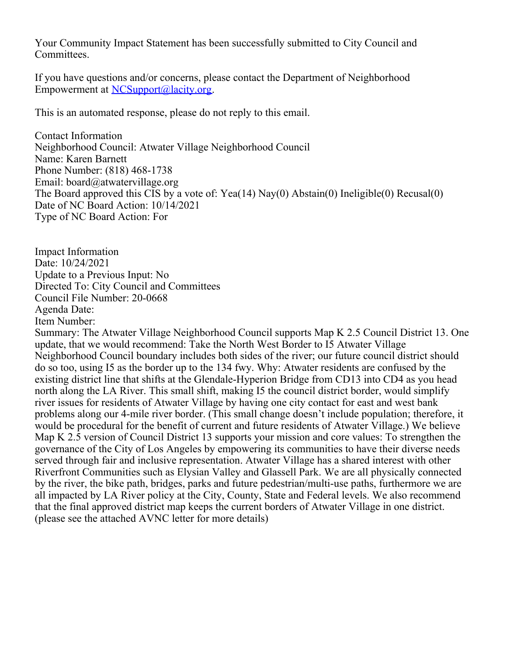Your Community Impact Statement has been successfully submitted to City Council and Committees.

If you have questions and/or concerns, please contact the Department of Neighborhood Empowerment at [NCSupport@lacity.org](mailto:NCSupport@lacity.org).

This is an automated response, please do not reply to this email.

Contact Information Neighborhood Council: Atwater Village Neighborhood Council Name: Karen Barnett Phone Number: (818) 468-1738 Email: board@atwatervillage.org The Board approved this CIS by a vote of: Yea(14) Nay(0) Abstain(0) Ineligible(0) Recusal(0) Date of NC Board Action: 10/14/2021 Type of NC Board Action: For

Impact Information Date: 10/24/2021 Update to a Previous Input: No Directed To: City Council and Committees Council File Number: 20-0668 Agenda Date: Item Number:

Summary: The Atwater Village Neighborhood Council supports Map K 2.5 Council District 13. One update, that we would recommend: Take the North West Border to I5 Atwater Village Neighborhood Council boundary includes both sides of the river; our future council district should do so too, using I5 as the border up to the 134 fwy. Why: Atwater residents are confused by the existing district line that shifts at the Glendale-Hyperion Bridge from CD13 into CD4 as you head north along the LA River. This small shift, making I5 the council district border, would simplify river issues for residents of Atwater Village by having one city contact for east and west bank problems along our 4-mile river border. (This small change doesn't include population; therefore, it would be procedural for the benefit of current and future residents of Atwater Village.) We believe Map K 2.5 version of Council District 13 supports your mission and core values: To strengthen the governance of the City of Los Angeles by empowering its communities to have their diverse needs served through fair and inclusive representation. Atwater Village has a shared interest with other Riverfront Communities such as Elysian Valley and Glassell Park. We are all physically connected by the river, the bike path, bridges, parks and future pedestrian/multi-use paths, furthermore we are all impacted by LA River policy at the City, County, State and Federal levels. We also recommend that the final approved district map keeps the current borders of Atwater Village in one district. (please see the attached AVNC letter for more details)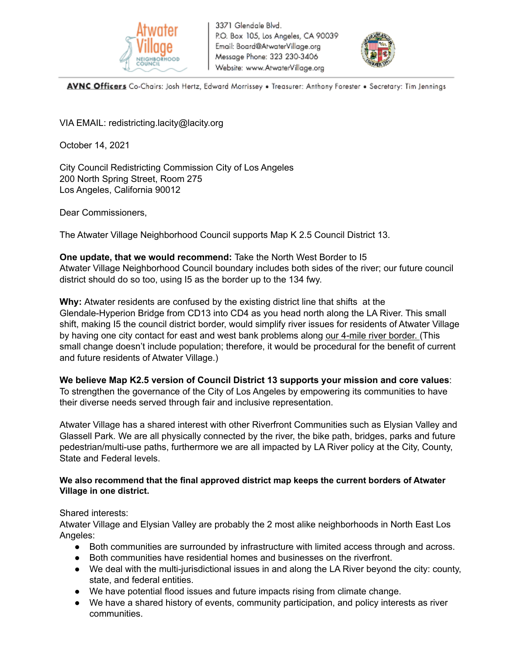



AVNC Officers Co-Chairs: Josh Hertz, Edward Morrissey . Treasurer: Anthony Forester . Secretary: Tim Jennings

VIA EMAIL: redistricting.lacity@lacity.org

October 14, 2021

City Council Redistricting Commission City of Los Angeles 200 North Spring Street, Room 275 Los Angeles, California 90012

Dear Commissioners,

The Atwater Village Neighborhood Council supports Map K 2.5 Council District 13.

**One update, that we would recommend:** Take the North West Border to I5 Atwater Village Neighborhood Council boundary includes both sides of the river; our future council district should do so too, using I5 as the border up to the 134 fwy.

**Why:** Atwater residents are confused by the existing district line that shifts at the Glendale-Hyperion Bridge from CD13 into CD4 as you head north along the LA River. This small shift, making I5 the council district border, would simplify river issues for residents of Atwater Village by having one city contact for east and west bank problems along our 4-mile river border. (This small change doesn't include population; therefore, it would be procedural for the benefit of current and future residents of Atwater Village.)

**We believe Map K2.5 version of Council District 13 supports your mission and core values**:

To strengthen the governance of the City of Los Angeles by empowering its communities to have their diverse needs served through fair and inclusive representation.

Atwater Village has a shared interest with other Riverfront Communities such as Elysian Valley and Glassell Park. We are all physically connected by the river, the bike path, bridges, parks and future pedestrian/multi-use paths, furthermore we are all impacted by LA River policy at the City, County, State and Federal levels.

## **We also recommend that the final approved district map keeps the current borders of Atwater Village in one district.**

Shared interests:

Atwater Village and Elysian Valley are probably the 2 most alike neighborhoods in North East Los Angeles:

- Both communities are surrounded by infrastructure with limited access through and across.
- Both communities have residential homes and businesses on the riverfront.
- We deal with the multi-jurisdictional issues in and along the LA River beyond the city: county, state, and federal entities.
- We have potential flood issues and future impacts rising from climate change.
- We have a shared history of events, community participation, and policy interests as river communities.